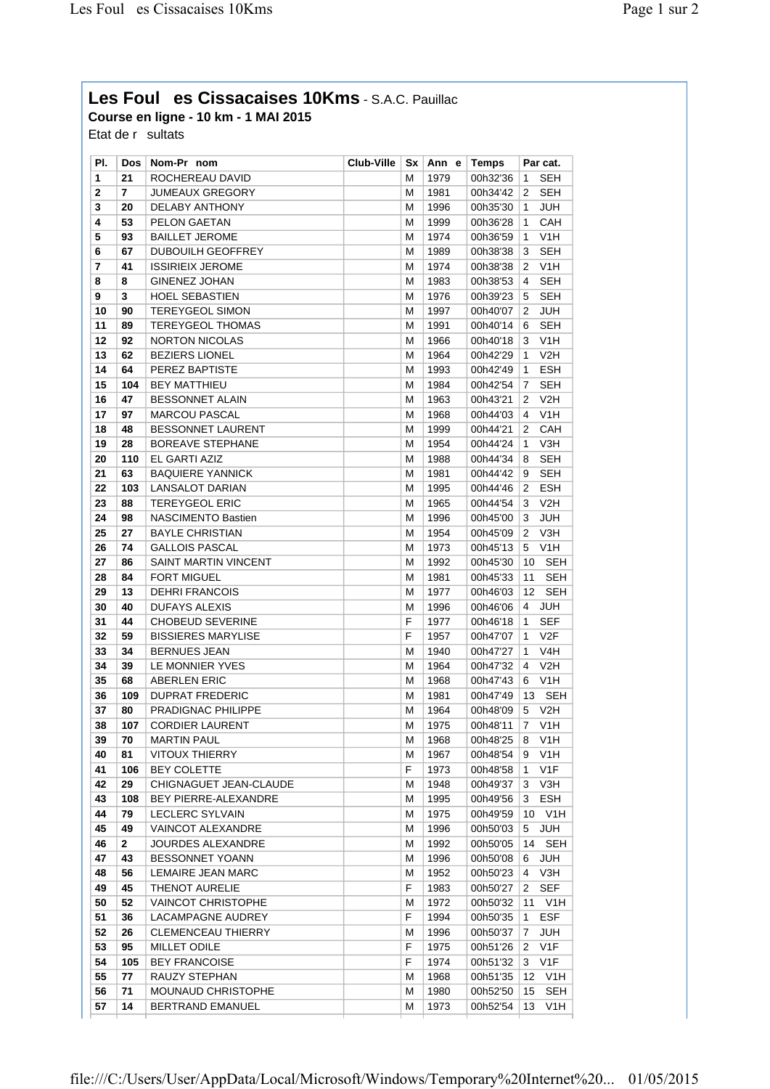## **Les Foules Cissacaises 10Kms** - S.A.C. Pauillac **Course en ligne - 10 km - 1 MAI 2015**

Etat de  $r$  sultats

| PI. | <b>Dos</b>   | Nom-Pr nom                | <b>Club-Ville</b> | Sx | Ann e | <b>Temps</b> |                | Par cat.         |
|-----|--------------|---------------------------|-------------------|----|-------|--------------|----------------|------------------|
| 1   | 21           | ROCHEREAU DAVID           |                   | М  | 1979  | 00h32'36     | 1              | SEH              |
| 2   | 7            | <b>JUMEAUX GREGORY</b>    |                   | Μ  | 1981  | 00h34'42     | 2              | <b>SEH</b>       |
| 3   | 20           | DELABY ANTHONY            |                   | Μ  | 1996  | 00h35'30     | $\mathbf{1}$   | JUH              |
| 4   | 53           | PELON GAETAN              |                   | Μ  | 1999  | 00h36'28     | 1              | CAH              |
| 5   | 93           | <b>BAILLET JEROME</b>     |                   | Μ  | 1974  | 00h36'59     | 1              | V <sub>1</sub> H |
| 6   | 67           | <b>DUBOUILH GEOFFREY</b>  |                   | Μ  | 1989  | 00h38'38     | 3              | <b>SEH</b>       |
| 7   | 41           | <b>ISSIRIEIX JEROME</b>   |                   | Μ  | 1974  | 00h38'38     | 2              | V1H              |
| 8   | 8            | <b>GINENEZ JOHAN</b>      |                   | M  | 1983  | 00h38'53     | 4              | <b>SEH</b>       |
| 9   | 3            | <b>HOEL SEBASTIEN</b>     |                   | Μ  | 1976  | 00h39'23     | 5              | <b>SEH</b>       |
| 10  | 90           | <b>TEREYGEOL SIMON</b>    |                   | Μ  | 1997  | 00h40'07     | 2              | <b>JUH</b>       |
| 11  | 89           | TEREYGEOL THOMAS          |                   | M  | 1991  | 00h40'14     | 6              | <b>SEH</b>       |
| 12  | 92           | <b>NORTON NICOLAS</b>     |                   | Μ  | 1966  | 00h40'18     | 3              | V1H              |
| 13  | 62           | <b>BEZIERS LIONEL</b>     |                   | M  | 1964  | 00h42'29     | 1              | V2H              |
| 14  | 64           | PEREZ BAPTISTE            |                   | Μ  | 1993  | 00h42'49     | $\mathbf{1}$   | <b>ESH</b>       |
| 15  | 104          | <b>BEY MATTHIEU</b>       |                   | Μ  | 1984  | 00h42'54     | 7              | SEH              |
| 16  | 47           | <b>BESSONNET ALAIN</b>    |                   | Μ  | 1963  | 00h43'21     | 2              | V2H              |
| 17  | 97           | <b>MARCOU PASCAL</b>      |                   | Μ  | 1968  | 00h44'03     | 4              | V1H              |
| 18  | 48           | <b>BESSONNET LAURENT</b>  |                   | Μ  | 1999  | 00h44'21     | 2              | CAH              |
| 19  | 28           | <b>BOREAVE STEPHANE</b>   |                   | M  | 1954  | 00h44'24     | 1              | V3H              |
| 20  | 110          | EL GARTI AZIZ             |                   | Μ  | 1988  | 00h44'34     | 8              | <b>SEH</b>       |
| 21  | 63           | <b>BAQUIERE YANNICK</b>   |                   | Μ  | 1981  | 00h44'42     | 9              | <b>SEH</b>       |
| 22  | 103          | <b>LANSALOT DARIAN</b>    |                   | Μ  | 1995  | 00h44'46     | 2              | <b>ESH</b>       |
| 23  | 88           | <b>TEREYGEOL ERIC</b>     |                   | Μ  | 1965  | 00h44'54     | 3              | V2H              |
| 24  | 98           | <b>NASCIMENTO Bastien</b> |                   | Μ  | 1996  | 00h45'00     | 3              | <b>JUH</b>       |
| 25  | 27           | <b>BAYLE CHRISTIAN</b>    |                   | Μ  | 1954  | 00h45'09     | 2              | V3H              |
| 26  | 74           | <b>GALLOIS PASCAL</b>     |                   | Μ  | 1973  | 00h45'13     | 5              | V1H              |
| 27  | 86           | SAINT MARTIN VINCENT      |                   | Μ  | 1992  | 00h45'30     | 10             | <b>SEH</b>       |
| 28  | 84           | <b>FORT MIGUEL</b>        |                   | Μ  | 1981  | 00h45'33     | 11             | SEH              |
| 29  | 13           | <b>DEHRI FRANCOIS</b>     |                   | Μ  | 1977  | 00h46'03     | 12             | <b>SEH</b>       |
| 30  | 40           | <b>DUFAYS ALEXIS</b>      |                   | M  | 1996  | 00h46'06     | 4              | <b>JUH</b>       |
| 31  | 44           | <b>CHOBEUD SEVERINE</b>   |                   | F  | 1977  | 00h46'18     | 1              | <b>SEF</b>       |
| 32  | 59           | <b>BISSIERES MARYLISE</b> |                   | F  | 1957  | 00h47'07     | 1              | V <sub>2F</sub>  |
| 33  | 34           | <b>BERNUES JEAN</b>       |                   | М  | 1940  | 00h47'27     | 1              | V4H              |
| 34  | 39           | LE MONNIER YVES           |                   | M  | 1964  | 00h47'32     | 4              | V2H              |
| 35  | 68           | <b>ABERLEN ERIC</b>       |                   | M  | 1968  | 00h47'43     | 6              | V <sub>1</sub> H |
| 36  | 109          | <b>DUPRAT FREDERIC</b>    |                   | Μ  | 1981  | 00h47'49     | 13             | <b>SEH</b>       |
| 37  | 80           | PRADIGNAC PHILIPPE        |                   | Μ  | 1964  | 00h48'09     | 5              | V2H              |
| 38  | 107          | <b>CORDIER LAURENT</b>    |                   | М  | 1975  | 00h48'11     | $\overline{7}$ | V <sub>1</sub> H |
| 39  | 70           | <b>MARTIN PAUL</b>        |                   | M  | 1968  | 00h48'25     | 8              | V1H              |
| 40  | 81           | <b>VITOUX THIERRY</b>     |                   | Μ  | 1967  | 00h48'54     | 9              | V <sub>1</sub> H |
| 41  | 106          | <b>BEY COLETTE</b>        |                   | F. | 1973  | 00h48'58     | 1              | V <sub>1</sub> F |
| 42  | 29           | CHIGNAGUET JEAN-CLAUDE    |                   | Μ  | 1948  | 00h49'37     | 3              | V3H              |
| 43  | 108          | BEY PIERRE-ALEXANDRE      |                   | M  | 1995  | 00h49'56     | 3              | <b>ESH</b>       |
| 44  | 79           | LECLERC SYLVAIN           |                   | Μ  | 1975  | 00h49'59     | 10             | V1H              |
| 45  | 49           | <b>VAINCOT ALEXANDRE</b>  |                   | Μ  | 1996  | 00h50'03     | 5              | JUH              |
| 46  | $\mathbf{2}$ | <b>JOURDES ALEXANDRE</b>  |                   | Μ  | 1992  | 00h50'05     | 14             | <b>SEH</b>       |
| 47  | 43           | <b>BESSONNET YOANN</b>    |                   | Μ  | 1996  | 00h50'08     | 6              | JUH              |
| 48  | 56           | LEMAIRE JEAN MARC         |                   | Μ  | 1952  | 00h50'23     | 4              | V3H              |
| 49  | 45           | <b>THENOT AURELIE</b>     |                   | F  | 1983  | 00h50'27     | 2              | <b>SEF</b>       |
| 50  | 52           | <b>VAINCOT CHRISTOPHE</b> |                   | Μ  | 1972  | 00h50'32     | 11             | V1H              |
| 51  | 36           | LACAMPAGNE AUDREY         |                   | F. | 1994  | 00h50'35     | 1              | <b>ESF</b>       |
| 52  | 26           | <b>CLEMENCEAU THIERRY</b> |                   | Μ  | 1996  | 00h50'37     | 7              | JUH              |
| 53  | 95           | MILLET ODILE              |                   | F  | 1975  | 00h51'26     | 2              | V1F              |
| 54  | 105          | <b>BEY FRANCOISE</b>      |                   | F  | 1974  | 00h51'32     | 3              | V <sub>1</sub> F |
| 55  | 77           | RAUZY STEPHAN             |                   | Μ  | 1968  | 00h51'35     | 12             | V <sub>1</sub> H |
| 56  | 71           | <b>MOUNAUD CHRISTOPHE</b> |                   | Μ  | 1980  | 00h52'50     | 15             | <b>SEH</b>       |
| 57  | 14           | BERTRAND EMANUEL          |                   | Μ  | 1973  | 00h52'54     | 13             | V <sub>1</sub> H |